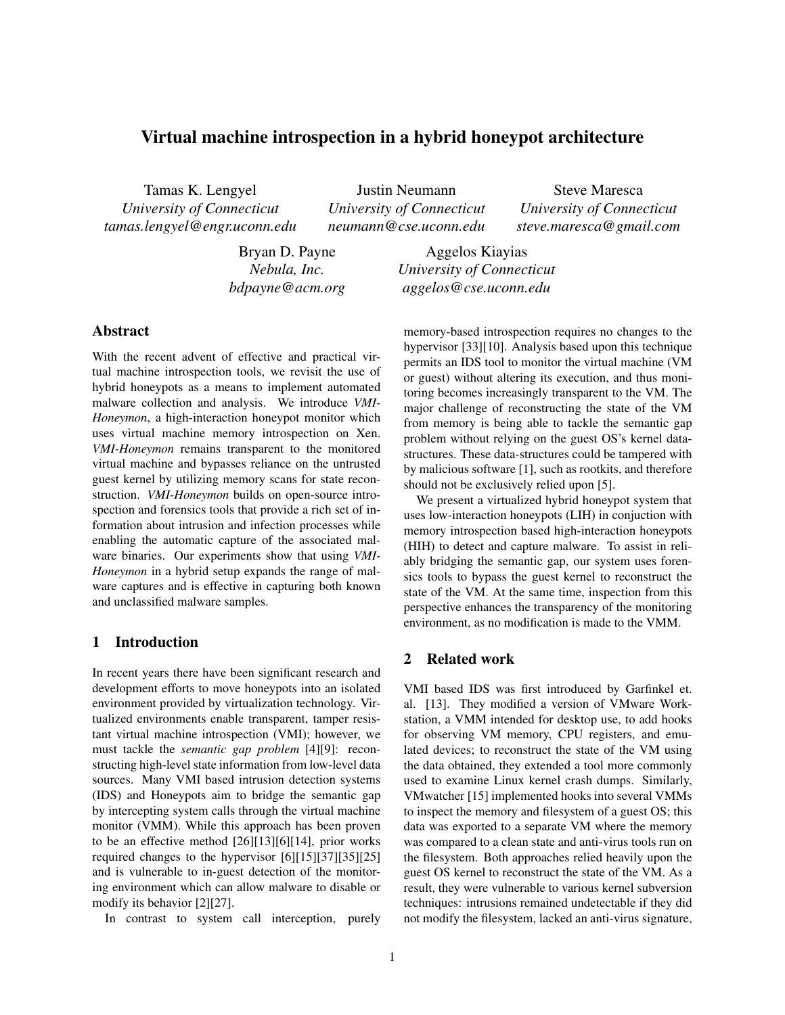# Virtual machine introspection in a hybrid honeypot architecture

Tamas K. Lengyel *University of Connecticut tamas.lengyel@engr.uconn.edu*

Justin Neumann *University of Connecticut neumann@cse.uconn.edu*

Steve Maresca *University of Connecticut steve.maresca@gmail.com*

Bryan D. Payne *Nebula, Inc. bdpayne@acm.org*

Aggelos Kiayias *University of Connecticut aggelos@cse.uconn.edu*

# Abstract

With the recent advent of effective and practical virtual machine introspection tools, we revisit the use of hybrid honeypots as a means to implement automated malware collection and analysis. We introduce *VMI-Honeymon*, a high-interaction honeypot monitor which uses virtual machine memory introspection on Xen. *VMI-Honeymon* remains transparent to the monitored virtual machine and bypasses reliance on the untrusted guest kernel by utilizing memory scans for state reconstruction. *VMI-Honeymon* builds on open-source introspection and forensics tools that provide a rich set of information about intrusion and infection processes while enabling the automatic capture of the associated malware binaries. Our experiments show that using *VMI-Honeymon* in a hybrid setup expands the range of malware captures and is effective in capturing both known and unclassified malware samples.

# 1 Introduction

In recent years there have been significant research and development efforts to move honeypots into an isolated environment provided by virtualization technology. Virtualized environments enable transparent, tamper resistant virtual machine introspection (VMI); however, we must tackle the *semantic gap problem* [4][9]: reconstructing high-level state information from low-level data sources. Many VMI based intrusion detection systems (IDS) and Honeypots aim to bridge the semantic gap by intercepting system calls through the virtual machine monitor (VMM). While this approach has been proven to be an effective method [26][13][6][14], prior works required changes to the hypervisor [6][15][37][35][25] and is vulnerable to in-guest detection of the monitoring environment which can allow malware to disable or modify its behavior [2][27].

In contrast to system call interception, purely

memory-based introspection requires no changes to the hypervisor [33][10]. Analysis based upon this technique permits an IDS tool to monitor the virtual machine (VM or guest) without altering its execution, and thus monitoring becomes increasingly transparent to the VM. The major challenge of reconstructing the state of the VM from memory is being able to tackle the semantic gap problem without relying on the guest OS's kernel datastructures. These data-structures could be tampered with by malicious software [1], such as rootkits, and therefore should not be exclusively relied upon [5].

We present a virtualized hybrid honeypot system that uses low-interaction honeypots (LIH) in conjuction with memory introspection based high-interaction honeypots (HIH) to detect and capture malware. To assist in reliably bridging the semantic gap, our system uses forensics tools to bypass the guest kernel to reconstruct the state of the VM. At the same time, inspection from this perspective enhances the transparency of the monitoring environment, as no modification is made to the VMM.

#### 2 Related work

VMI based IDS was first introduced by Garfinkel et. al. [13]. They modified a version of VMware Workstation, a VMM intended for desktop use, to add hooks for observing VM memory, CPU registers, and emulated devices; to reconstruct the state of the VM using the data obtained, they extended a tool more commonly used to examine Linux kernel crash dumps. Similarly, VMwatcher [15] implemented hooks into several VMMs to inspect the memory and filesystem of a guest OS; this data was exported to a separate VM where the memory was compared to a clean state and anti-virus tools run on the filesystem. Both approaches relied heavily upon the guest OS kernel to reconstruct the state of the VM. As a result, they were vulnerable to various kernel subversion techniques: intrusions remained undetectable if they did not modify the filesystem, lacked an anti-virus signature,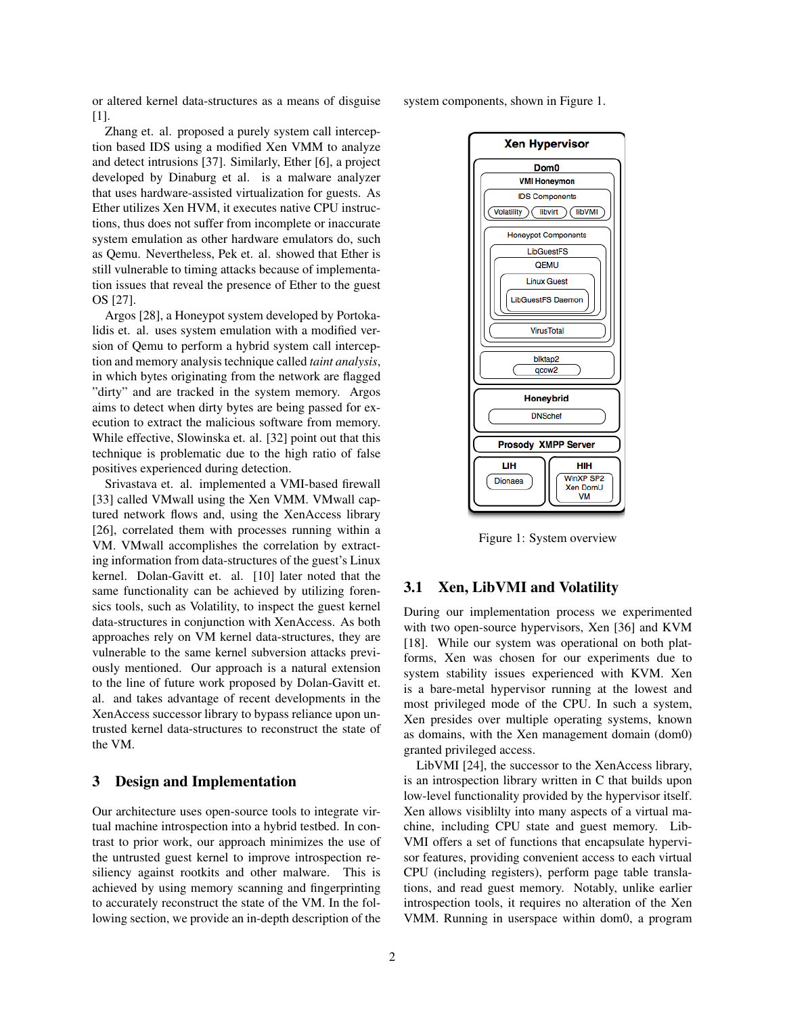or altered kernel data-structures as a means of disguise [1].

Zhang et. al. proposed a purely system call interception based IDS using a modified Xen VMM to analyze and detect intrusions [37]. Similarly, Ether [6], a project developed by Dinaburg et al. is a malware analyzer that uses hardware-assisted virtualization for guests. As Ether utilizes Xen HVM, it executes native CPU instructions, thus does not suffer from incomplete or inaccurate system emulation as other hardware emulators do, such as Qemu. Nevertheless, Pek et. al. showed that Ether is still vulnerable to timing attacks because of implementation issues that reveal the presence of Ether to the guest OS [27].

Argos [28], a Honeypot system developed by Portokalidis et. al. uses system emulation with a modified version of Qemu to perform a hybrid system call interception and memory analysis technique called *taint analysis*, in which bytes originating from the network are flagged "dirty" and are tracked in the system memory. Argos aims to detect when dirty bytes are being passed for execution to extract the malicious software from memory. While effective, Slowinska et. al. [32] point out that this technique is problematic due to the high ratio of false positives experienced during detection.

Srivastava et. al. implemented a VMI-based firewall [33] called VMwall using the Xen VMM. VMwall captured network flows and, using the XenAccess library [26], correlated them with processes running within a VM. VMwall accomplishes the correlation by extracting information from data-structures of the guest's Linux kernel. Dolan-Gavitt et. al. [10] later noted that the same functionality can be achieved by utilizing forensics tools, such as Volatility, to inspect the guest kernel data-structures in conjunction with XenAccess. As both approaches rely on VM kernel data-structures, they are vulnerable to the same kernel subversion attacks previously mentioned. Our approach is a natural extension to the line of future work proposed by Dolan-Gavitt et. al. and takes advantage of recent developments in the XenAccess successor library to bypass reliance upon untrusted kernel data-structures to reconstruct the state of the VM.

## 3 Design and Implementation

Our architecture uses open-source tools to integrate virtual machine introspection into a hybrid testbed. In contrast to prior work, our approach minimizes the use of the untrusted guest kernel to improve introspection resiliency against rootkits and other malware. This is achieved by using memory scanning and fingerprinting to accurately reconstruct the state of the VM. In the following section, we provide an in-depth description of the system components, shown in Figure 1.



Figure 1: System overview

#### 3.1 Xen, LibVMI and Volatility

During our implementation process we experimented with two open-source hypervisors, Xen [36] and KVM [18]. While our system was operational on both platforms, Xen was chosen for our experiments due to system stability issues experienced with KVM. Xen is a bare-metal hypervisor running at the lowest and most privileged mode of the CPU. In such a system, Xen presides over multiple operating systems, known as domains, with the Xen management domain (dom0) granted privileged access.

LibVMI [24], the successor to the XenAccess library, is an introspection library written in C that builds upon low-level functionality provided by the hypervisor itself. Xen allows visiblilty into many aspects of a virtual machine, including CPU state and guest memory. Lib-VMI offers a set of functions that encapsulate hypervisor features, providing convenient access to each virtual CPU (including registers), perform page table translations, and read guest memory. Notably, unlike earlier introspection tools, it requires no alteration of the Xen VMM. Running in userspace within dom0, a program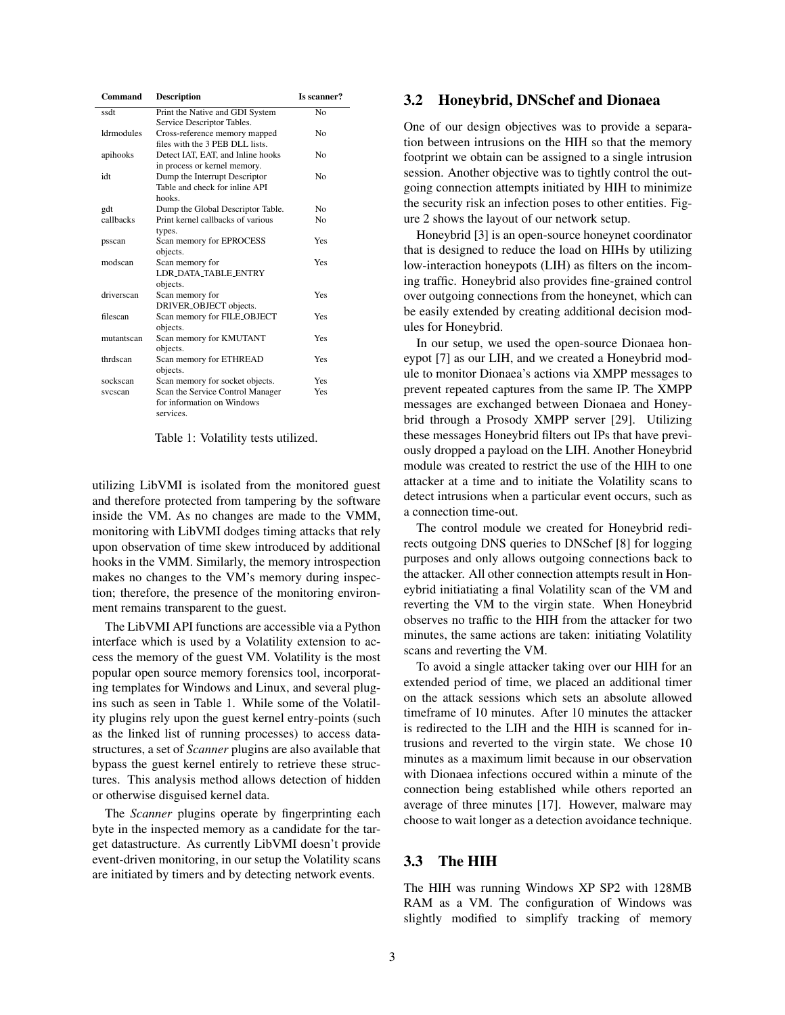| Command           | <b>Description</b>                                                          | Is scanner?        |
|-------------------|-----------------------------------------------------------------------------|--------------------|
| ssdt              | Print the Native and GDI System<br>Service Descriptor Tables.               | $\overline{N_{0}}$ |
| <b>Idrmodules</b> | Cross-reference memory mapped<br>files with the 3 PEB DLL lists             | N <sub>0</sub>     |
| apihooks          | Detect IAT, EAT, and Inline hooks<br>in process or kernel memory.           | N <sub>0</sub>     |
| idt               | Dump the Interrupt Descriptor<br>Table and check for inline API<br>hooks    | No                 |
| gdt               | Dump the Global Descriptor Table.                                           | N <sub>0</sub>     |
| callbacks         | Print kernel callbacks of various<br>types.                                 | No                 |
| psscan            | Scan memory for EPROCESS<br>objects.                                        | Yes                |
| modscan           | Scan memory for<br><b>LDR DATA TABLE ENTRY</b><br>objects.                  | Yes                |
| driverscan        | Scan memory for<br>DRIVER_OBJECT objects.                                   | Yes                |
| filescan          | Scan memory for FILE_OBJECT<br>objects.                                     | Yes                |
| mutantscan        | Scan memory for KMUTANT<br>objects.                                         | Yes                |
| thrdscan          | Scan memory for ETHREAD<br>objects.                                         | Yes                |
| sockscan          | Scan memory for socket objects.                                             | Yes                |
| svescan           | Scan the Service Control Manager<br>for information on Windows<br>services. | Yes                |

Table 1: Volatility tests utilized.

utilizing LibVMI is isolated from the monitored guest and therefore protected from tampering by the software inside the VM. As no changes are made to the VMM, monitoring with LibVMI dodges timing attacks that rely upon observation of time skew introduced by additional hooks in the VMM. Similarly, the memory introspection makes no changes to the VM's memory during inspection; therefore, the presence of the monitoring environment remains transparent to the guest.

The LibVMI API functions are accessible via a Python interface which is used by a Volatility extension to access the memory of the guest VM. Volatility is the most popular open source memory forensics tool, incorporating templates for Windows and Linux, and several plugins such as seen in Table 1. While some of the Volatility plugins rely upon the guest kernel entry-points (such as the linked list of running processes) to access datastructures, a set of *Scanner* plugins are also available that bypass the guest kernel entirely to retrieve these structures. This analysis method allows detection of hidden or otherwise disguised kernel data.

The *Scanner* plugins operate by fingerprinting each byte in the inspected memory as a candidate for the target datastructure. As currently LibVMI doesn't provide event-driven monitoring, in our setup the Volatility scans are initiated by timers and by detecting network events.

#### 3.2 Honeybrid, DNSchef and Dionaea

One of our design objectives was to provide a separation between intrusions on the HIH so that the memory footprint we obtain can be assigned to a single intrusion session. Another objective was to tightly control the outgoing connection attempts initiated by HIH to minimize the security risk an infection poses to other entities. Figure 2 shows the layout of our network setup.

Honeybrid [3] is an open-source honeynet coordinator that is designed to reduce the load on HIHs by utilizing low-interaction honeypots (LIH) as filters on the incoming traffic. Honeybrid also provides fine-grained control over outgoing connections from the honeynet, which can be easily extended by creating additional decision modules for Honeybrid.

In our setup, we used the open-source Dionaea honeypot [7] as our LIH, and we created a Honeybrid module to monitor Dionaea's actions via XMPP messages to prevent repeated captures from the same IP. The XMPP messages are exchanged between Dionaea and Honeybrid through a Prosody XMPP server [29]. Utilizing these messages Honeybrid filters out IPs that have previously dropped a payload on the LIH. Another Honeybrid module was created to restrict the use of the HIH to one attacker at a time and to initiate the Volatility scans to detect intrusions when a particular event occurs, such as a connection time-out.

The control module we created for Honeybrid redirects outgoing DNS queries to DNSchef [8] for logging purposes and only allows outgoing connections back to the attacker. All other connection attempts result in Honeybrid initiatiating a final Volatility scan of the VM and reverting the VM to the virgin state. When Honeybrid observes no traffic to the HIH from the attacker for two minutes, the same actions are taken: initiating Volatility scans and reverting the VM.

To avoid a single attacker taking over our HIH for an extended period of time, we placed an additional timer on the attack sessions which sets an absolute allowed timeframe of 10 minutes. After 10 minutes the attacker is redirected to the LIH and the HIH is scanned for intrusions and reverted to the virgin state. We chose 10 minutes as a maximum limit because in our observation with Dionaea infections occured within a minute of the connection being established while others reported an average of three minutes [17]. However, malware may choose to wait longer as a detection avoidance technique.

## 3.3 The HIH

The HIH was running Windows XP SP2 with 128MB RAM as a VM. The configuration of Windows was slightly modified to simplify tracking of memory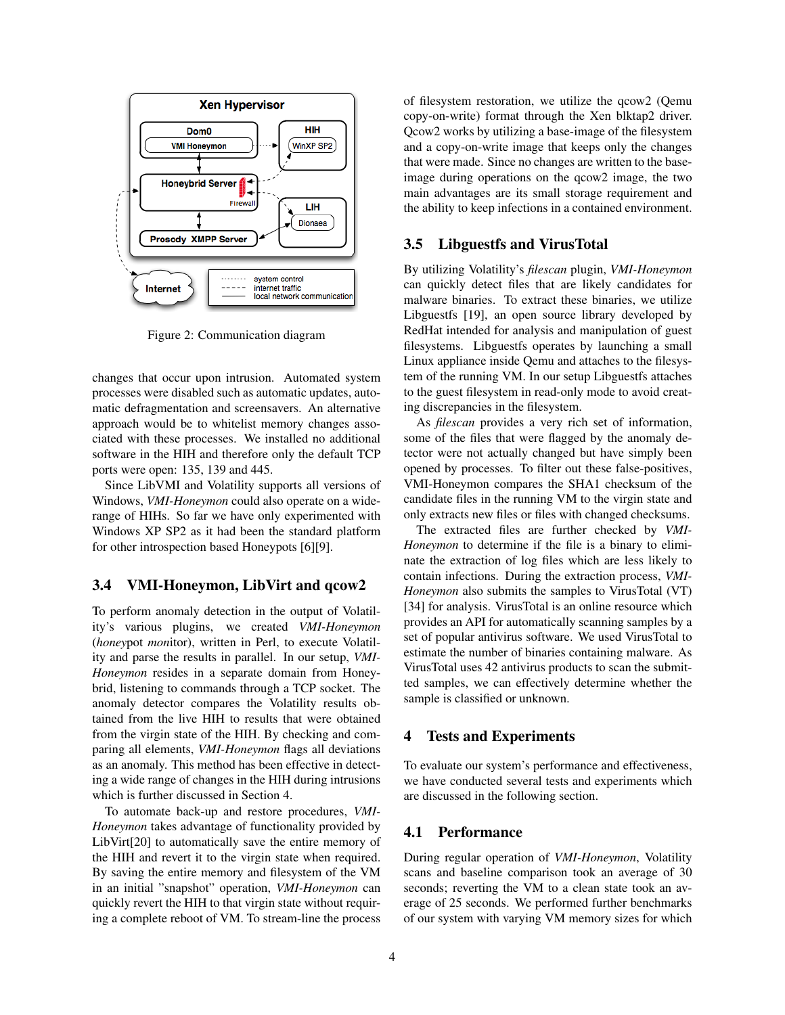

Figure 2: Communication diagram

changes that occur upon intrusion. Automated system processes were disabled such as automatic updates, automatic defragmentation and screensavers. An alternative approach would be to whitelist memory changes associated with these processes. We installed no additional software in the HIH and therefore only the default TCP ports were open: 135, 139 and 445.

Since LibVMI and Volatility supports all versions of Windows, *VMI-Honeymon* could also operate on a widerange of HIHs. So far we have only experimented with Windows XP SP2 as it had been the standard platform for other introspection based Honeypots [6][9].

#### 3.4 VMI-Honeymon, LibVirt and qcow2

To perform anomaly detection in the output of Volatility's various plugins, we created *VMI-Honeymon* (*honey*pot *mon*itor), written in Perl, to execute Volatility and parse the results in parallel. In our setup, *VMI-Honeymon* resides in a separate domain from Honeybrid, listening to commands through a TCP socket. The anomaly detector compares the Volatility results obtained from the live HIH to results that were obtained from the virgin state of the HIH. By checking and comparing all elements, *VMI-Honeymon* flags all deviations as an anomaly. This method has been effective in detecting a wide range of changes in the HIH during intrusions which is further discussed in Section 4.

To automate back-up and restore procedures, *VMI-Honeymon* takes advantage of functionality provided by LibVirt[20] to automatically save the entire memory of the HIH and revert it to the virgin state when required. By saving the entire memory and filesystem of the VM in an initial "snapshot" operation, *VMI-Honeymon* can quickly revert the HIH to that virgin state without requiring a complete reboot of VM. To stream-line the process of filesystem restoration, we utilize the qcow2 (Qemu copy-on-write) format through the Xen blktap2 driver. Qcow2 works by utilizing a base-image of the filesystem and a copy-on-write image that keeps only the changes that were made. Since no changes are written to the baseimage during operations on the qcow2 image, the two main advantages are its small storage requirement and the ability to keep infections in a contained environment.

### 3.5 Libguestfs and VirusTotal

By utilizing Volatility's *filescan* plugin, *VMI-Honeymon* can quickly detect files that are likely candidates for malware binaries. To extract these binaries, we utilize Libguestfs [19], an open source library developed by RedHat intended for analysis and manipulation of guest filesystems. Libguestfs operates by launching a small Linux appliance inside Qemu and attaches to the filesystem of the running VM. In our setup Libguestfs attaches to the guest filesystem in read-only mode to avoid creating discrepancies in the filesystem.

As *filescan* provides a very rich set of information, some of the files that were flagged by the anomaly detector were not actually changed but have simply been opened by processes. To filter out these false-positives, VMI-Honeymon compares the SHA1 checksum of the candidate files in the running VM to the virgin state and only extracts new files or files with changed checksums.

The extracted files are further checked by *VMI-Honeymon* to determine if the file is a binary to eliminate the extraction of log files which are less likely to contain infections. During the extraction process, *VMI-Honeymon* also submits the samples to VirusTotal (VT) [34] for analysis. VirusTotal is an online resource which provides an API for automatically scanning samples by a set of popular antivirus software. We used VirusTotal to estimate the number of binaries containing malware. As VirusTotal uses 42 antivirus products to scan the submitted samples, we can effectively determine whether the sample is classified or unknown.

### 4 Tests and Experiments

To evaluate our system's performance and effectiveness, we have conducted several tests and experiments which are discussed in the following section.

### 4.1 Performance

During regular operation of *VMI-Honeymon*, Volatility scans and baseline comparison took an average of 30 seconds; reverting the VM to a clean state took an average of 25 seconds. We performed further benchmarks of our system with varying VM memory sizes for which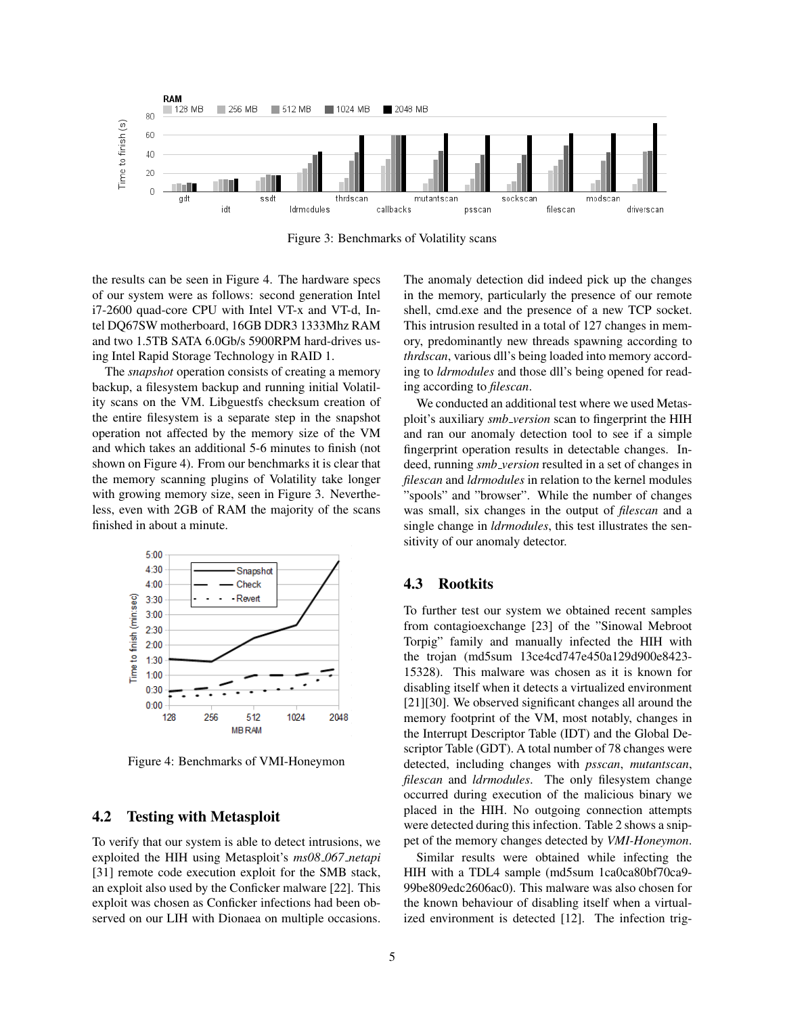

Figure 3: Benchmarks of Volatility scans

the results can be seen in Figure 4. The hardware specs of our system were as follows: second generation Intel i7-2600 quad-core CPU with Intel VT-x and VT-d, Intel DQ67SW motherboard, 16GB DDR3 1333Mhz RAM and two 1.5TB SATA 6.0Gb/s 5900RPM hard-drives using Intel Rapid Storage Technology in RAID 1.

The *snapshot* operation consists of creating a memory backup, a filesystem backup and running initial Volatility scans on the VM. Libguestfs checksum creation of the entire filesystem is a separate step in the snapshot operation not affected by the memory size of the VM and which takes an additional 5-6 minutes to finish (not shown on Figure 4). From our benchmarks it is clear that the memory scanning plugins of Volatility take longer with growing memory size, seen in Figure 3. Nevertheless, even with 2GB of RAM the majority of the scans finished in about a minute.



Figure 4: Benchmarks of VMI-Honeymon

### 4.2 Testing with Metasploit

To verify that our system is able to detect intrusions, we exploited the HIH using Metasploit's *ms08 067 netapi* [31] remote code execution exploit for the SMB stack, an exploit also used by the Conficker malware [22]. This exploit was chosen as Conficker infections had been observed on our LIH with Dionaea on multiple occasions. The anomaly detection did indeed pick up the changes in the memory, particularly the presence of our remote shell, cmd.exe and the presence of a new TCP socket. This intrusion resulted in a total of 127 changes in memory, predominantly new threads spawning according to *thrdscan*, various dll's being loaded into memory according to *ldrmodules* and those dll's being opened for reading according to *filescan*.

We conducted an additional test where we used Metasploit's auxiliary *smb version* scan to fingerprint the HIH and ran our anomaly detection tool to see if a simple fingerprint operation results in detectable changes. Indeed, running *smb version* resulted in a set of changes in *filescan* and *ldrmodules* in relation to the kernel modules "spools" and "browser". While the number of changes was small, six changes in the output of *filescan* and a single change in *ldrmodules*, this test illustrates the sensitivity of our anomaly detector.

### 4.3 Rootkits

To further test our system we obtained recent samples from contagioexchange [23] of the "Sinowal Mebroot Torpig" family and manually infected the HIH with the trojan (md5sum 13ce4cd747e450a129d900e8423- 15328). This malware was chosen as it is known for disabling itself when it detects a virtualized environment [21][30]. We observed significant changes all around the memory footprint of the VM, most notably, changes in the Interrupt Descriptor Table (IDT) and the Global Descriptor Table (GDT). A total number of 78 changes were detected, including changes with *psscan*, *mutantscan*, *filescan* and *ldrmodules*. The only filesystem change occurred during execution of the malicious binary we placed in the HIH. No outgoing connection attempts were detected during this infection. Table 2 shows a snippet of the memory changes detected by *VMI-Honeymon*.

Similar results were obtained while infecting the HIH with a TDL4 sample (md5sum 1ca0ca80bf70ca9- 99be809edc2606ac0). This malware was also chosen for the known behaviour of disabling itself when a virtualized environment is detected [12]. The infection trig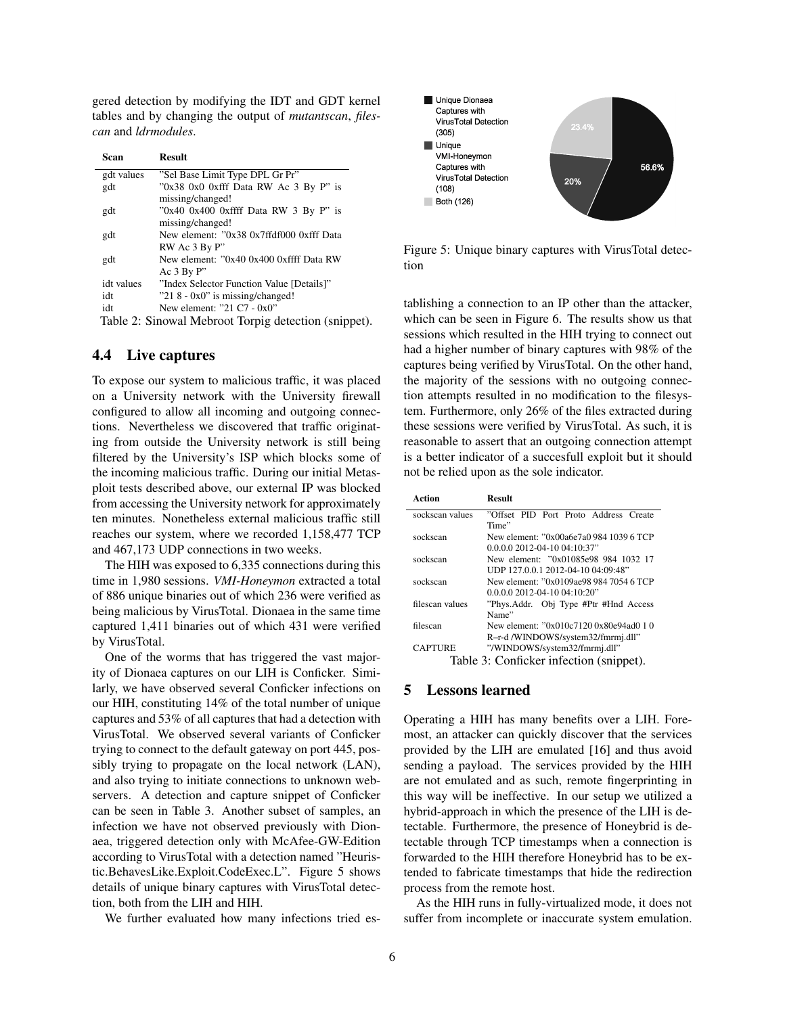gered detection by modifying the IDT and GDT kernel tables and by changing the output of *mutantscan*, *filescan* and *ldrmodules*.

| Scan       | <b>Result</b>                                             |  |
|------------|-----------------------------------------------------------|--|
| gdt values | "Sel Base Limit Type DPL Gr Pr"                           |  |
| gdt        | "0x38 0x0 0xfff Data RW Ac 3 By P" is<br>missing/changed! |  |
| gdt        | "0x40 0x400 0xffff Data RW 3 By P" is<br>missing/changed! |  |
| gdt        | New element: "0x38 0x7ffdf000 0xfff Data                  |  |
|            | RW Ac 3 By P"                                             |  |
| gdt        | New element: "0x40 0x400 0xffff Data RW                   |  |
|            | Ac $3$ By P"                                              |  |
| idt values | "Index Selector Function Value [Details]"                 |  |
| idt        | $"218 - 0x0"$ is missing/changed!                         |  |
| idt        | New element: "21 C7 - 0x0"                                |  |
|            | Table 2. Cinemal Mahnast Taggia detection (enime          |  |

Table 2: Sinowal Mebroot Torpig detection (snippet).

## 4.4 Live captures

To expose our system to malicious traffic, it was placed on a University network with the University firewall configured to allow all incoming and outgoing connections. Nevertheless we discovered that traffic originating from outside the University network is still being filtered by the University's ISP which blocks some of the incoming malicious traffic. During our initial Metasploit tests described above, our external IP was blocked from accessing the University network for approximately ten minutes. Nonetheless external malicious traffic still reaches our system, where we recorded 1,158,477 TCP and 467,173 UDP connections in two weeks.

The HIH was exposed to 6,335 connections during this time in 1,980 sessions. *VMI-Honeymon* extracted a total of 886 unique binaries out of which 236 were verified as being malicious by VirusTotal. Dionaea in the same time captured 1,411 binaries out of which 431 were verified by VirusTotal.

One of the worms that has triggered the vast majority of Dionaea captures on our LIH is Conficker. Similarly, we have observed several Conficker infections on our HIH, constituting 14% of the total number of unique captures and 53% of all captures that had a detection with VirusTotal. We observed several variants of Conficker trying to connect to the default gateway on port 445, possibly trying to propagate on the local network (LAN), and also trying to initiate connections to unknown webservers. A detection and capture snippet of Conficker can be seen in Table 3. Another subset of samples, an infection we have not observed previously with Dionaea, triggered detection only with McAfee-GW-Edition according to VirusTotal with a detection named "Heuristic.BehavesLike.Exploit.CodeExec.L". Figure 5 shows details of unique binary captures with VirusTotal detection, both from the LIH and HIH.

We further evaluated how many infections tried es-



Figure 5: Unique binary captures with VirusTotal detection

tablishing a connection to an IP other than the attacker, which can be seen in Figure 6. The results show us that sessions which resulted in the HIH trying to connect out had a higher number of binary captures with 98% of the captures being verified by VirusTotal. On the other hand, the majority of the sessions with no outgoing connection attempts resulted in no modification to the filesystem. Furthermore, only 26% of the files extracted during these sessions were verified by VirusTotal. As such, it is reasonable to assert that an outgoing connection attempt is a better indicator of a succesfull exploit but it should not be relied upon as the sole indicator.

| Action                                  | <b>Result</b>                           |  |
|-----------------------------------------|-----------------------------------------|--|
| sockscan values                         | "Offset PID Port Proto Address Create   |  |
|                                         | Time"                                   |  |
| sockscan                                | New element: "0x00a6e7a0 984 1039 6 TCP |  |
|                                         | $0.0.0.0$ 2012-04-10 04:10:37"          |  |
| sockscan                                | New element: "0x01085e98 984 1032 17    |  |
|                                         | UDP 127.0.0.1 2012-04-10 04:09:48"      |  |
| sockscan                                | New element: "0x0109ae98 984 7054 6 TCP |  |
|                                         | $0.0.0.0$ 2012-04-10 04:10:20"          |  |
| filescan values                         | "Phys.Addr. Obj Type #Ptr #Hnd Access"  |  |
|                                         | Name"                                   |  |
| filescan                                | New element: "0x010c7120 0x80e94ad0 1 0 |  |
|                                         | R-r-d/WINDOWS/system32/fmrmj.dll"       |  |
| <b>CAPTURE</b>                          | "/WINDOWS/system32/fmrmj.dll"           |  |
| Table 3: Conficker infection (snippet). |                                         |  |

#### 5 Lessons learned

Operating a HIH has many benefits over a LIH. Foremost, an attacker can quickly discover that the services provided by the LIH are emulated [16] and thus avoid sending a payload. The services provided by the HIH are not emulated and as such, remote fingerprinting in this way will be ineffective. In our setup we utilized a hybrid-approach in which the presence of the LIH is detectable. Furthermore, the presence of Honeybrid is detectable through TCP timestamps when a connection is forwarded to the HIH therefore Honeybrid has to be extended to fabricate timestamps that hide the redirection process from the remote host.

As the HIH runs in fully-virtualized mode, it does not suffer from incomplete or inaccurate system emulation.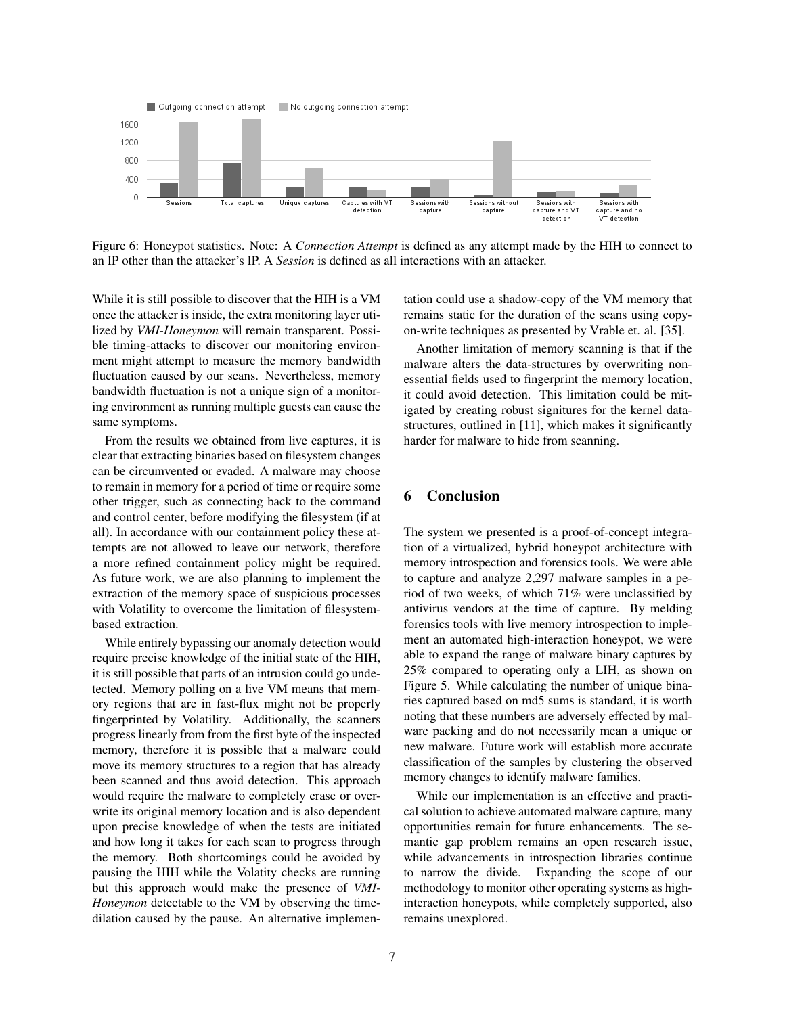

Figure 6: Honeypot statistics. Note: A *Connection Attempt* is defined as any attempt made by the HIH to connect to an IP other than the attacker's IP. A *Session* is defined as all interactions with an attacker.

While it is still possible to discover that the HIH is a VM once the attacker is inside, the extra monitoring layer utilized by *VMI-Honeymon* will remain transparent. Possible timing-attacks to discover our monitoring environment might attempt to measure the memory bandwidth fluctuation caused by our scans. Nevertheless, memory bandwidth fluctuation is not a unique sign of a monitoring environment as running multiple guests can cause the same symptoms.

From the results we obtained from live captures, it is clear that extracting binaries based on filesystem changes can be circumvented or evaded. A malware may choose to remain in memory for a period of time or require some other trigger, such as connecting back to the command and control center, before modifying the filesystem (if at all). In accordance with our containment policy these attempts are not allowed to leave our network, therefore a more refined containment policy might be required. As future work, we are also planning to implement the extraction of the memory space of suspicious processes with Volatility to overcome the limitation of filesystembased extraction.

While entirely bypassing our anomaly detection would require precise knowledge of the initial state of the HIH, it is still possible that parts of an intrusion could go undetected. Memory polling on a live VM means that memory regions that are in fast-flux might not be properly fingerprinted by Volatility. Additionally, the scanners progress linearly from from the first byte of the inspected memory, therefore it is possible that a malware could move its memory structures to a region that has already been scanned and thus avoid detection. This approach would require the malware to completely erase or overwrite its original memory location and is also dependent upon precise knowledge of when the tests are initiated and how long it takes for each scan to progress through the memory. Both shortcomings could be avoided by pausing the HIH while the Volatity checks are running but this approach would make the presence of *VMI-Honeymon* detectable to the VM by observing the timedilation caused by the pause. An alternative implementation could use a shadow-copy of the VM memory that remains static for the duration of the scans using copyon-write techniques as presented by Vrable et. al. [35].

Another limitation of memory scanning is that if the malware alters the data-structures by overwriting nonessential fields used to fingerprint the memory location, it could avoid detection. This limitation could be mitigated by creating robust signitures for the kernel datastructures, outlined in [11], which makes it significantly harder for malware to hide from scanning.

## 6 Conclusion

The system we presented is a proof-of-concept integration of a virtualized, hybrid honeypot architecture with memory introspection and forensics tools. We were able to capture and analyze 2,297 malware samples in a period of two weeks, of which 71% were unclassified by antivirus vendors at the time of capture. By melding forensics tools with live memory introspection to implement an automated high-interaction honeypot, we were able to expand the range of malware binary captures by 25% compared to operating only a LIH, as shown on Figure 5. While calculating the number of unique binaries captured based on md5 sums is standard, it is worth noting that these numbers are adversely effected by malware packing and do not necessarily mean a unique or new malware. Future work will establish more accurate classification of the samples by clustering the observed memory changes to identify malware families.

While our implementation is an effective and practical solution to achieve automated malware capture, many opportunities remain for future enhancements. The semantic gap problem remains an open research issue, while advancements in introspection libraries continue to narrow the divide. Expanding the scope of our methodology to monitor other operating systems as highinteraction honeypots, while completely supported, also remains unexplored.